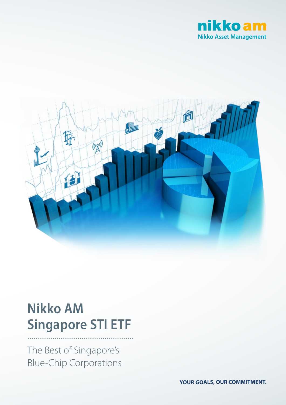



# **Nikko AM Singapore STI ETF**

The Best of Singapore's Blue-Chip Corporations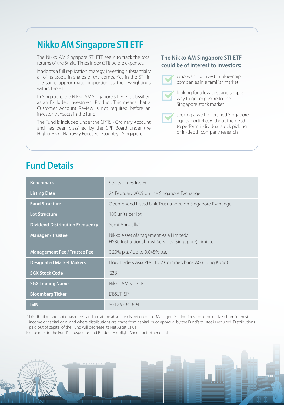### **Nikko AM Singapore STI ETF**

The Nikko AM Singapore STI ETF seeks to track the total returns of the Straits Times Index (STI) before expenses.

It adopts a full replication strategy, investing substantially all of its assets in shares of the companies in the STI, in the same approximate proportion as their weightings within the STI.

In Singapore, the Nikko AM Singapore STI ETF is classified as an Excluded Investment Product. This means that a Customer Account Review is not required before an investor transacts in the fund.

The Fund is included under the CPFIS - Ordinary Account and has been classified by the CPF Board under the Higher Risk - Narrowly Focused - Country - Singapore.

### **The Nikko AM Singapore STI ETF could be of interest to investors:**



looking for a low cost and simple way to get exposure to the Singapore stock market

seeking a well-diversified Singapore equity portfolio, without the need to perform individual stock picking or in-depth company research

### **Fund Details**

| <b>Benchmark</b>                       | <b>Straits Times Index</b>                                                                    |  |  |  |
|----------------------------------------|-----------------------------------------------------------------------------------------------|--|--|--|
| <b>Listing Date</b>                    | 24 February 2009 on the Singapore Exchange                                                    |  |  |  |
| <b>Fund Structure</b>                  | Open-ended Listed Unit Trust traded on Singapore Exchange                                     |  |  |  |
| <b>Lot Structure</b>                   | 100 units per lot                                                                             |  |  |  |
| <b>Dividend Distribution Frequency</b> | Semi-Annually <sup>^</sup>                                                                    |  |  |  |
| <b>Manager / Trustee</b>               | Nikko Asset Management Asia Limited/<br>HSBC Institutional Trust Services (Singapore) Limited |  |  |  |
| <b>Management Fee / Trustee Fee</b>    | 0.20% p.a. / up to 0.045% p.a.                                                                |  |  |  |
| <b>Designated Market Makers</b>        | Flow Traders Asia Pte. Ltd. / Commerzbank AG (Hong Kong)                                      |  |  |  |
| <b>SGX Stock Code</b>                  | G3B                                                                                           |  |  |  |
| <b>SGX Trading Name</b>                | Nikko AM STI ETF                                                                              |  |  |  |
| <b>Bloomberg Ticker</b>                | DBSSTI SP                                                                                     |  |  |  |
| <b>ISIN</b>                            | SG1X52941694                                                                                  |  |  |  |

^ Distributions are not guaranteed and are at the absolute discretion of the Manager. Distributions could be derived from interest income or capital gain, and where distributions are made from capital, prior-approval by the Fund's trustee is required. Distributions paid out of capital of the Fund will decrease its Net Asset Value.

Please refer to the Fund's prospectus and Product Highlight Sheet for further details.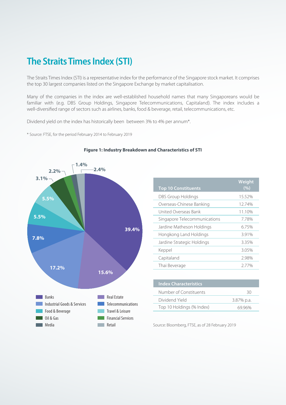## **The Straits Times Index (STI)**

The Straits Times Index (STI) is a representative index for the performance of the Singapore stock market. It comprises the top 30 largest companies listed on the Singapore Exchange by market capitalisation.

Many of the companies in the index are well-established household names that many Singaporeans would be familiar with (e.g. DBS Group Holdings, Singapore Telecommunications, Capitaland). The index includes a well-diversified range of sectors such as airlines, banks, food & beverage, retail, telecommunications, etc.

Dividend yield on the index has historically been between 3% to 4% per annum\*.

\* Source: FTSE, for the period February 2014 to February 2019



#### **Figure 1: Industry Breakdown and Characteristics of STI**

| <b>Top 10 Constituents</b>   | <b>Weight</b><br>(%) |
|------------------------------|----------------------|
| DBS Group Holdings           | 15.52%               |
| Overseas-Chinese Banking     | 12.74%               |
| United Overseas Bank         | 11.10%               |
| Singapore Telecommunications | 7.78%                |
| Jardine Matheson Holdings    | 6.75%                |
| Hongkong Land Holdings       | 3.91%                |
| Jardine Strategic Holdings   | 3.35%                |
| Keppel                       | 3.05%                |
| Capitaland                   | 2.98%                |
| Thai Beverage                | 2.77%                |

| <b>Index Characteristics</b> |            |  |  |  |  |
|------------------------------|------------|--|--|--|--|
| Number of Constituents       | RΩ         |  |  |  |  |
| Dividend Yield               | 3.87% p.a. |  |  |  |  |
| Top 10 Holdings (% Index)    | 69 96%     |  |  |  |  |

Source: Bloomberg, FTSE, as of 28 February 2019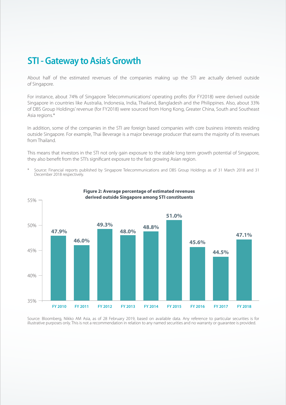### **STI - Gateway to Asia's Growth**

About half of the estimated revenues of the companies making up the STI are actually derived outside of Singapore.

For instance, about 74% of Singapore Telecommunications' operating profits (for FY2018) were derived outside Singapore in countries like Australia, Indonesia, India, Thailand, Bangladesh and the Philippines. Also, about 33% of DBS Group Holdings' revenue (for FY2018) were sourced from Hong Kong, Greater China, South and Southeast Asia regions.\*

In addition, some of the companies in the STI are foreign based companies with core business interests residing outside Singapore. For example, Thai Beverage is a major beverage producer that earns the majority of its revenues from Thailand.

This means that investors in the STI not only gain exposure to the stable long term growth potential of Singapore, they also benefit from the STI's significant exposure to the fast growing Asian region.

Source: Financial reports published by Singapore Telecommunications and DBS Group Holdings as of 31 March 2018 and 31 December 2018 respectively.



#### **Figure 2: Average percentage of estimated revenues derived outside Singapore among STI constituents**

Source: Bloomberg, Nikko AM Asia, as of 28 February 2019, based on available data. Any reference to particular securities is for illustrative purposes only. This is not a recommendation in relation to any named securities and no warranty or guarantee is provided.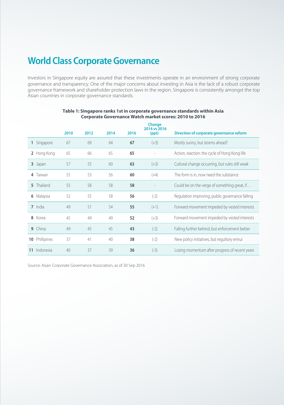### **World Class Corporate Governance**

Investors in Singapore equity are assured that these investments operate in an environment of strong corporate governance and transparency. One of the major concerns about investing in Asia is the lack of a robust corporate governance framework and shareholder protection laws in the region. Singapore is consistently amongst the top Asian countries in corporate governance standards.

|    |             | 2010 | 2012 | 2014 | 2016 | Change<br>2014 vs 2016<br>(ppt) | Direction of corporate governance reform        |
|----|-------------|------|------|------|------|---------------------------------|-------------------------------------------------|
|    | 1 Singapore | 67   | 69   | 64   | 67   | $(+3)$                          | Mostly sunny, but storms ahead?                 |
|    | 2 Hong Kong | 65   | 66   | 65   | 65   |                                 | Action, reaction: the cycle of Hong Kong life   |
|    | 3 Japan     | 57   | 55   | 60   | 63   | $(+3)$                          | Cultural change occurring, but rules still weak |
|    | 4 Taiwan    | 55   | 53   | 56   | 60   | $(+4)$                          | The form is in, now need the substance          |
|    | 5 Thailand  | 55   | 58   | 58   | 58   |                                 | Could be on the verge of something great, if    |
| 6  | Malaysia    | 52   | 55   | 58   | 56   | $(-2)$                          | Regulation improving, public governance falling |
|    | 7 India     | 49   | 51   | 54   | 55   | $(+1)$                          | Forward movement impeded by vested interests    |
| 8  | Korea       | 45   | 49   | 49   | 52   | $(+3)$                          | Forward movement impeded by vested interests    |
| 9  | China       | 49   | 45   | 45   | 43   | $(-2)$                          | Falling further behind, but enforcement better  |
| 10 | Phillipines | 37   | 41   | 40   | 38   | $(-2)$                          | New policy initiatives, but regultory ennui     |
| 11 | Indonesia   | 40   | 37   | 39   | 36   | $(-3)$                          | Losing momentum after progress of recent years  |

#### **Table 1: Singapore ranks 1st in corporate governance standards within Asia Corporate Governance Watch market scores: 2010 to 2016**

Source: Asian Corporate Governance Association, as of 30 Sep 2016